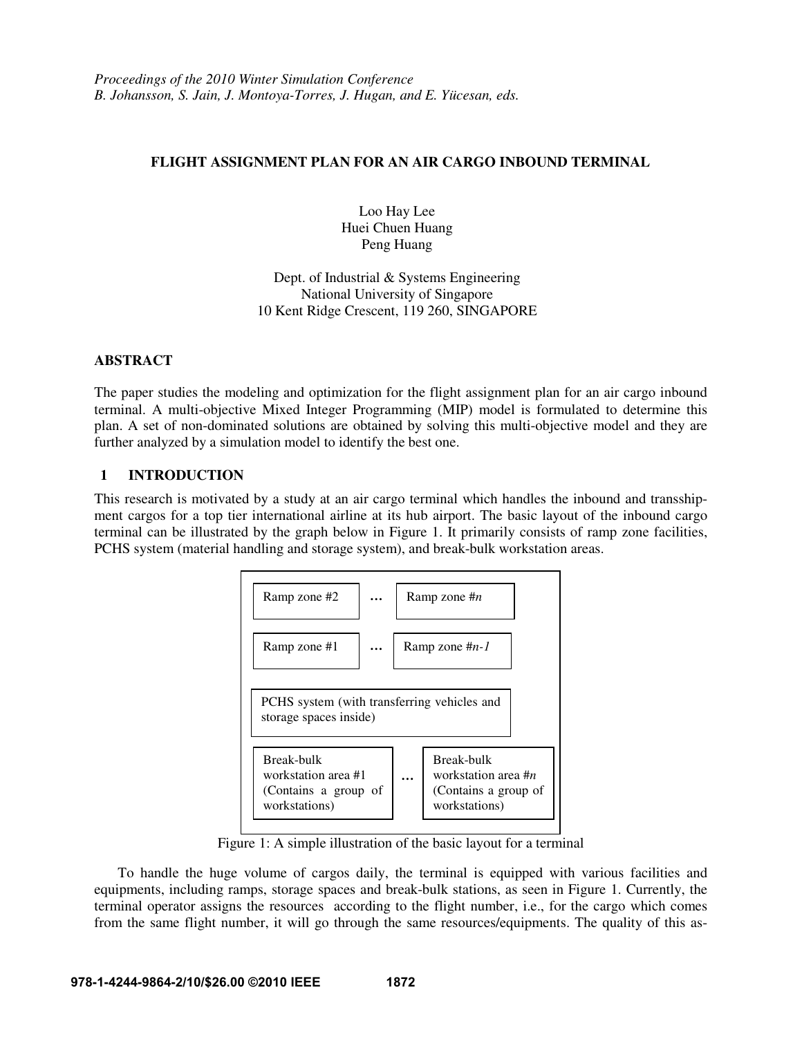# **FLIGHT ASSIGNMENT PLAN FOR AN AIR CARGO INBOUND TERMINAL**

Loo Hay Lee Huei Chuen Huang Peng Huang

Dept. of Industrial & Systems Engineering National University of Singapore 10 Kent Ridge Crescent, 119 260, SINGAPORE

# **ABSTRACT**

The paper studies the modeling and optimization for the flight assignment plan for an air cargo inbound terminal. A multi-objective Mixed Integer Programming (MIP) model is formulated to determine this plan. A set of non-dominated solutions are obtained by solving this multi-objective model and they are further analyzed by a simulation model to identify the best one.

# **1 INTRODUCTION**

This research is motivated by a study at an air cargo terminal which handles the inbound and transshipment cargos for a top tier international airline at its hub airport. The basic layout of the inbound cargo terminal can be illustrated by the graph below in Figure 1. It primarily consists of ramp zone facilities, PCHS system (material handling and storage system), and break-bulk workstation areas.



Figure 1: A simple illustration of the basic layout for a terminal

 To handle the huge volume of cargos daily, the terminal is equipped with various facilities and equipments, including ramps, storage spaces and break-bulk stations, as seen in Figure 1. Currently, the terminal operator assigns the resources according to the flight number, i.e., for the cargo which comes from the same flight number, it will go through the same resources/equipments. The quality of this as-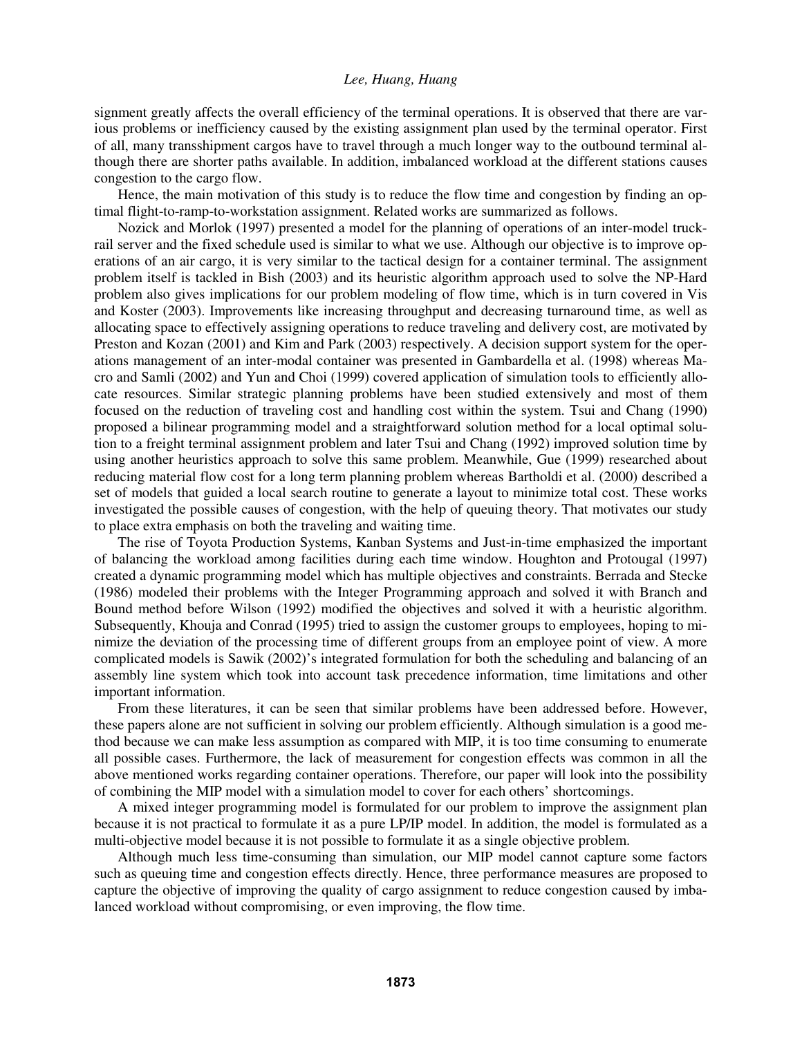signment greatly affects the overall efficiency of the terminal operations. It is observed that there are various problems or inefficiency caused by the existing assignment plan used by the terminal operator. First of all, many transshipment cargos have to travel through a much longer way to the outbound terminal although there are shorter paths available. In addition, imbalanced workload at the different stations causes congestion to the cargo flow.

Hence, the main motivation of this study is to reduce the flow time and congestion by finding an optimal flight-to-ramp-to-workstation assignment. Related works are summarized as follows.

Nozick and Morlok (1997) presented a model for the planning of operations of an inter-model truckrail server and the fixed schedule used is similar to what we use. Although our objective is to improve operations of an air cargo, it is very similar to the tactical design for a container terminal. The assignment problem itself is tackled in Bish (2003) and its heuristic algorithm approach used to solve the NP-Hard problem also gives implications for our problem modeling of flow time, which is in turn covered in Vis and Koster (2003). Improvements like increasing throughput and decreasing turnaround time, as well as allocating space to effectively assigning operations to reduce traveling and delivery cost, are motivated by Preston and Kozan (2001) and Kim and Park (2003) respectively. A decision support system for the operations management of an inter-modal container was presented in Gambardella et al. (1998) whereas Macro and Samli (2002) and Yun and Choi (1999) covered application of simulation tools to efficiently allocate resources. Similar strategic planning problems have been studied extensively and most of them focused on the reduction of traveling cost and handling cost within the system. Tsui and Chang (1990) proposed a bilinear programming model and a straightforward solution method for a local optimal solution to a freight terminal assignment problem and later Tsui and Chang (1992) improved solution time by using another heuristics approach to solve this same problem. Meanwhile, Gue (1999) researched about reducing material flow cost for a long term planning problem whereas Bartholdi et al. (2000) described a set of models that guided a local search routine to generate a layout to minimize total cost. These works investigated the possible causes of congestion, with the help of queuing theory. That motivates our study to place extra emphasis on both the traveling and waiting time.

The rise of Toyota Production Systems, Kanban Systems and Just-in-time emphasized the important of balancing the workload among facilities during each time window. Houghton and Protougal (1997) created a dynamic programming model which has multiple objectives and constraints. Berrada and Stecke (1986) modeled their problems with the Integer Programming approach and solved it with Branch and Bound method before Wilson (1992) modified the objectives and solved it with a heuristic algorithm. Subsequently, Khouja and Conrad (1995) tried to assign the customer groups to employees, hoping to minimize the deviation of the processing time of different groups from an employee point of view. A more complicated models is Sawik (2002)'s integrated formulation for both the scheduling and balancing of an assembly line system which took into account task precedence information, time limitations and other important information.

From these literatures, it can be seen that similar problems have been addressed before. However, these papers alone are not sufficient in solving our problem efficiently. Although simulation is a good method because we can make less assumption as compared with MIP, it is too time consuming to enumerate all possible cases. Furthermore, the lack of measurement for congestion effects was common in all the above mentioned works regarding container operations. Therefore, our paper will look into the possibility of combining the MIP model with a simulation model to cover for each others' shortcomings.

A mixed integer programming model is formulated for our problem to improve the assignment plan because it is not practical to formulate it as a pure LP/IP model. In addition, the model is formulated as a multi-objective model because it is not possible to formulate it as a single objective problem.

Although much less time-consuming than simulation, our MIP model cannot capture some factors such as queuing time and congestion effects directly. Hence, three performance measures are proposed to capture the objective of improving the quality of cargo assignment to reduce congestion caused by imbalanced workload without compromising, or even improving, the flow time.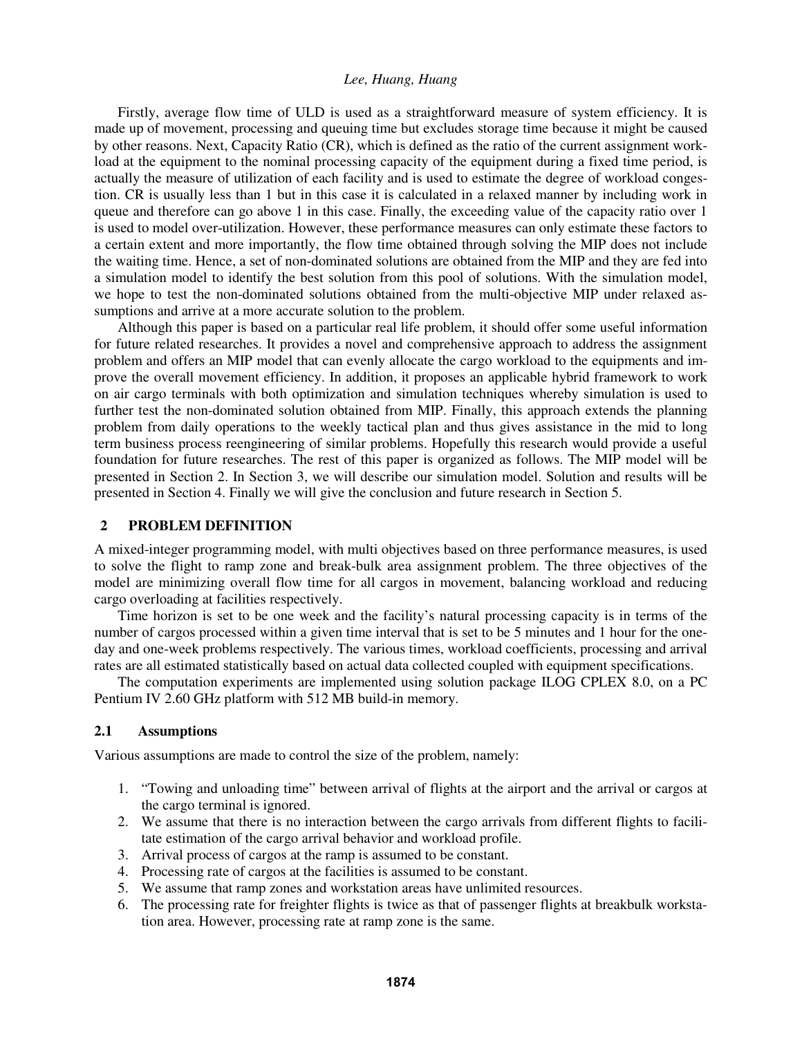Firstly, average flow time of ULD is used as a straightforward measure of system efficiency. It is made up of movement, processing and queuing time but excludes storage time because it might be caused by other reasons. Next, Capacity Ratio (CR), which is defined as the ratio of the current assignment workload at the equipment to the nominal processing capacity of the equipment during a fixed time period, is actually the measure of utilization of each facility and is used to estimate the degree of workload congestion. CR is usually less than 1 but in this case it is calculated in a relaxed manner by including work in queue and therefore can go above 1 in this case. Finally, the exceeding value of the capacity ratio over 1 is used to model over-utilization. However, these performance measures can only estimate these factors to a certain extent and more importantly, the flow time obtained through solving the MIP does not include the waiting time. Hence, a set of non-dominated solutions are obtained from the MIP and they are fed into a simulation model to identify the best solution from this pool of solutions. With the simulation model, we hope to test the non-dominated solutions obtained from the multi-objective MIP under relaxed assumptions and arrive at a more accurate solution to the problem.

Although this paper is based on a particular real life problem, it should offer some useful information for future related researches. It provides a novel and comprehensive approach to address the assignment problem and offers an MIP model that can evenly allocate the cargo workload to the equipments and improve the overall movement efficiency. In addition, it proposes an applicable hybrid framework to work on air cargo terminals with both optimization and simulation techniques whereby simulation is used to further test the non-dominated solution obtained from MIP. Finally, this approach extends the planning problem from daily operations to the weekly tactical plan and thus gives assistance in the mid to long term business process reengineering of similar problems. Hopefully this research would provide a useful foundation for future researches. The rest of this paper is organized as follows. The MIP model will be presented in Section 2. In Section 3, we will describe our simulation model. Solution and results will be presented in Section 4. Finally we will give the conclusion and future research in Section 5.

### **2 PROBLEM DEFINITION**

A mixed-integer programming model, with multi objectives based on three performance measures, is used to solve the flight to ramp zone and break-bulk area assignment problem. The three objectives of the model are minimizing overall flow time for all cargos in movement, balancing workload and reducing cargo overloading at facilities respectively.

Time horizon is set to be one week and the facility's natural processing capacity is in terms of the number of cargos processed within a given time interval that is set to be 5 minutes and 1 hour for the oneday and one-week problems respectively. The various times, workload coefficients, processing and arrival rates are all estimated statistically based on actual data collected coupled with equipment specifications.

The computation experiments are implemented using solution package ILOG CPLEX 8.0, on a PC Pentium IV 2.60 GHz platform with 512 MB build-in memory.

#### **2.1 Assumptions**

Various assumptions are made to control the size of the problem, namely:

- 1. "Towing and unloading time" between arrival of flights at the airport and the arrival or cargos at the cargo terminal is ignored.
- 2. We assume that there is no interaction between the cargo arrivals from different flights to facilitate estimation of the cargo arrival behavior and workload profile.
- 3. Arrival process of cargos at the ramp is assumed to be constant.
- 4. Processing rate of cargos at the facilities is assumed to be constant.
- 5. We assume that ramp zones and workstation areas have unlimited resources.
- 6. The processing rate for freighter flights is twice as that of passenger flights at breakbulk workstation area. However, processing rate at ramp zone is the same.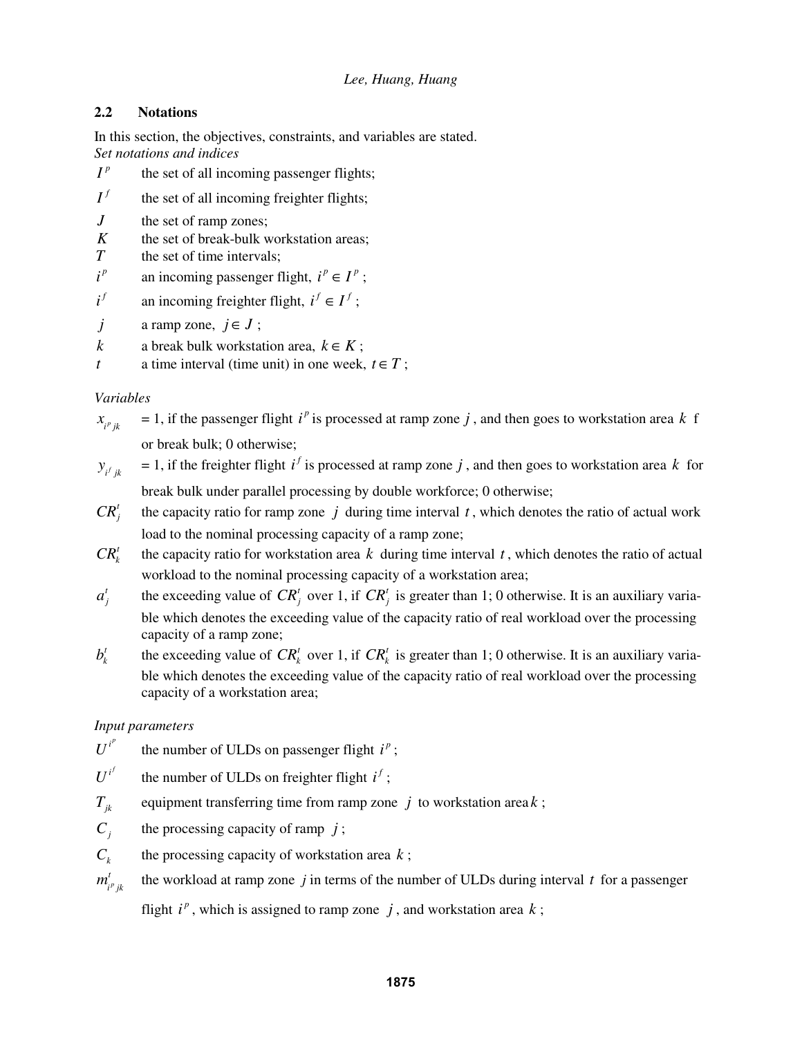# **2.2 Notations**

In this section, the objectives, constraints, and variables are stated. *Set notations and indices* 

- $I<sup>p</sup>$  the set of all incoming passenger flights;
- $I<sup>f</sup>$  the set of all incoming freighter flights;
- *J* the set of ramp zones;
- *K* the set of break-bulk workstation areas;
- *T* the set of time intervals;
- $i^p$ an incoming passenger flight,  $i^p \in I^p$ ;
- $i^f$ an incoming freighter flight,  $i^f \in I^f$ ;
- *j* a ramp zone,  $j \in J$ ;
- *k* a break bulk workstation area,  $k \in K$ ;
- *t* a time interval (time unit) in one week,  $t \in T$ ;

# *Variables*

- $x$ <sub>i</sub> $_{i}$ <sub>ik</sub>  $x_{i^p j k}$  = 1, if the passenger flight  $i^p$  is processed at ramp zone *j*, and then goes to workstation area *k* f or break bulk; 0 otherwise;
- $\mathcal{Y}_{i^f i^f}$  $y_{i^f j^k} = 1$ , if the freighter flight  $i^f$  is processed at ramp zone *j*, and then goes to workstation area *k* for break bulk under parallel processing by double workforce; 0 otherwise;
- $CR_i^t$  the capacity ratio for ramp zone *j* during time interval *t*, which denotes the ratio of actual work load to the nominal processing capacity of a ramp zone;
- $CR<sub>k</sub><sup>t</sup>$  the capacity ratio for workstation area *k* during time interval *t*, which denotes the ratio of actual workload to the nominal processing capacity of a workstation area;
- $a_j^t$  the exceeding value of  $CR_j^t$  over 1, if  $CR_j^t$  is greater than 1; 0 otherwise. It is an auxiliary varia ble which denotes the exceeding value of the capacity ratio of real workload over the processing capacity of a ramp zone;
- $b^t_{\iota}$ the exceeding value of  $CR_k^t$  over 1, if  $CR_k^t$  is greater than 1; 0 otherwise. It is an auxiliary varia ble which denotes the exceeding value of the capacity ratio of real workload over the processing capacity of a workstation area;

# *Input parameters*<br>*II*<sup>*i<sup>p</sup>* the numb</sup>

- $U^{i^p}$  the number of ULDs on passenger flight  $i^p$ ;
- $U^{i^f}$  the number of ULDs on freighter flight  $i^f$ ;
- $T_{ik}$  equipment transferring time from ramp zone *j* to workstation area *k*;
- $C_i$  the processing capacity of ramp  $j$ ;
- $C_k$  the processing capacity of workstation area  $k$ ;
- *<i>p* the workload at ramp zone  $j$  in terms of the number of ULDs during interval  $t$  for a passenger flight  $i^p$ , which is assigned to ramp zone  $j$ , and workstation area  $k$ ;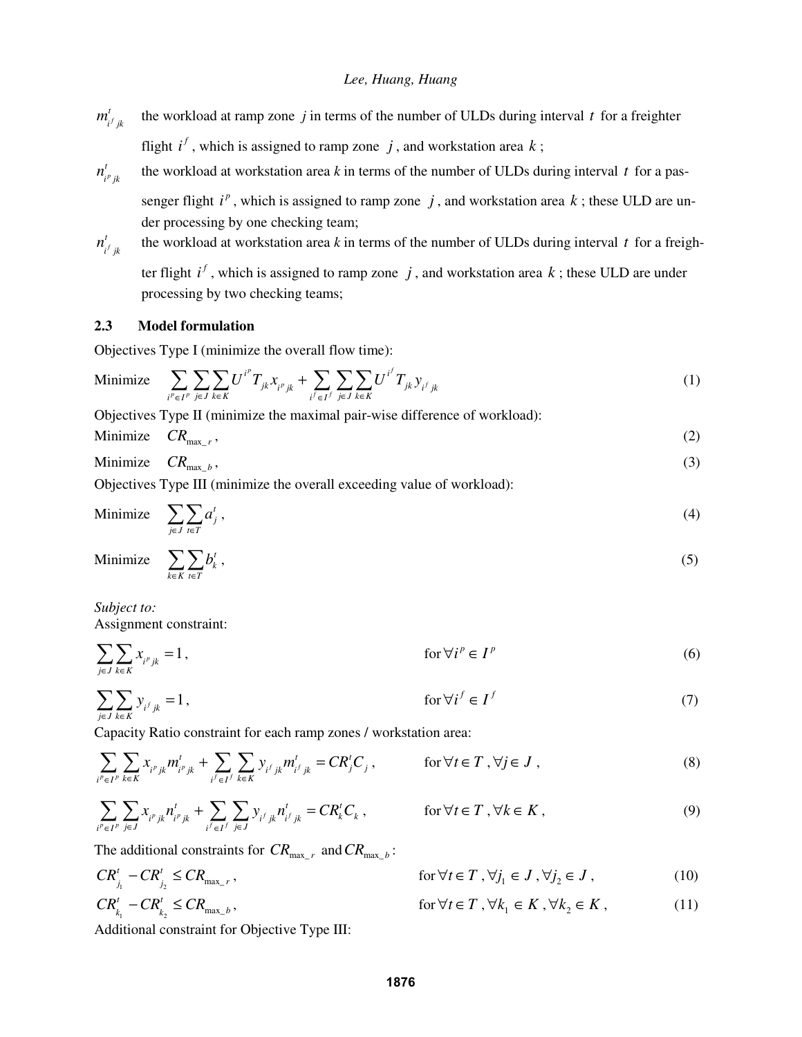- *f t* the workload at ramp zone  $j$  in terms of the number of ULDs during interval  $t$  for a freighter flight  $i^f$ , which is assigned to ramp zone  $j$ , and workstation area  $k$ ;
- *<i>p* the workload at workstation area  $k$  in terms of the number of ULDs during interval  $t$  for a pas-

senger flight  $i^p$ , which is assigned to ramp zone  $j$ , and workstation area  $k$ ; these ULD are under processing by one checking team;

*f t* the workload at workstation area  $k$  in terms of the number of ULDs during interval  $t$  for a freighter flight  $i^f$ , which is assigned to ramp zone  $j$ , and workstation area  $k$ ; these ULD are under processing by two checking teams;

# **2.3 Model formulation**

Objectives Type I (minimize the overall flow time):

Minimize 
$$
\sum_{i^p \in I^p} \sum_{j \in J} \sum_{k \in K} U^{i^p} T_{jk} x_{i^p j^p} + \sum_{i^f \in I^f} \sum_{j \in J} \sum_{k \in K} U^{i^f} T_{jk} y_{i^f j^p}
$$
(1)

Objectives Type II (minimize the maximal pair-wise difference of workload):

Minimize  $CR_{\text{max}}$  <sup>r</sup>, (2)

Minimize 
$$
CR_{\max_b}
$$
, (3)

Objectives Type III (minimize the overall exceeding value of workload):

Minimize 
$$
\sum_{j\in J} \sum_{t\in T} a_j^t,
$$
 (4)

Minimize 
$$
\sum_{k \in K} \sum_{t \in T} b_k^t,
$$
 (5)

*Subject to:*  Assignment constraint:

 $\sum_{j \in J} \sum_{k \in K} x_{i^p j k} = 1$ *x*  $\sum_{i \in J} \sum_{k \in K} x_{i^p j k} = 1,$  for  $\forall i^p \in I^p$  (6)

$$
\sum_{j \in J} \sum_{k \in K} y_{i^f j_k} = 1, \qquad \text{for } \forall i^f \in I^f \tag{7}
$$

Capacity Ratio constraint for each ramp zones / workstation area:

$$
\sum_{i^p \in I^p} \sum_{k \in K} x_{i^p j_k} m_{i^p j_k}^t + \sum_{i^f \in I^f} \sum_{k \in K} y_{i^f j_k} m_{i^f j_k}^t = CR_j^t C_j, \qquad \text{for } \forall t \in T, \forall j \in J,
$$
\n(8)

$$
\sum_{i^p \in I^p} \sum_{j \in J} x_{i^p j^k} n^t_{i^p j^k} + \sum_{i^f \in I^f} \sum_{j \in J} y_{i^f j^k} n^t_{i^f j^k} = CR^t_k C_k, \qquad \text{for } \forall t \in T, \forall k \in K,
$$
\n(9)

The additional constraints for  $CR_{\text{max}}$  *r* and  $CR_{\text{max}}$  *b* :

$$
CR_{j_1}^t - CR_{j_2}^t \le CR_{\max_r}, \qquad \text{for } \forall t \in T, \forall j_1 \in J, \forall j_2 \in J, \qquad (10)
$$
  

$$
CR_{k_1}^t - CR_{k_2}^t \le CR_{\max_r}, \qquad \text{for } \forall t \in T, \forall k_1 \in K, \forall k_2 \in K, \qquad (11)
$$

Additional constraint for Objective Type III:

**1876**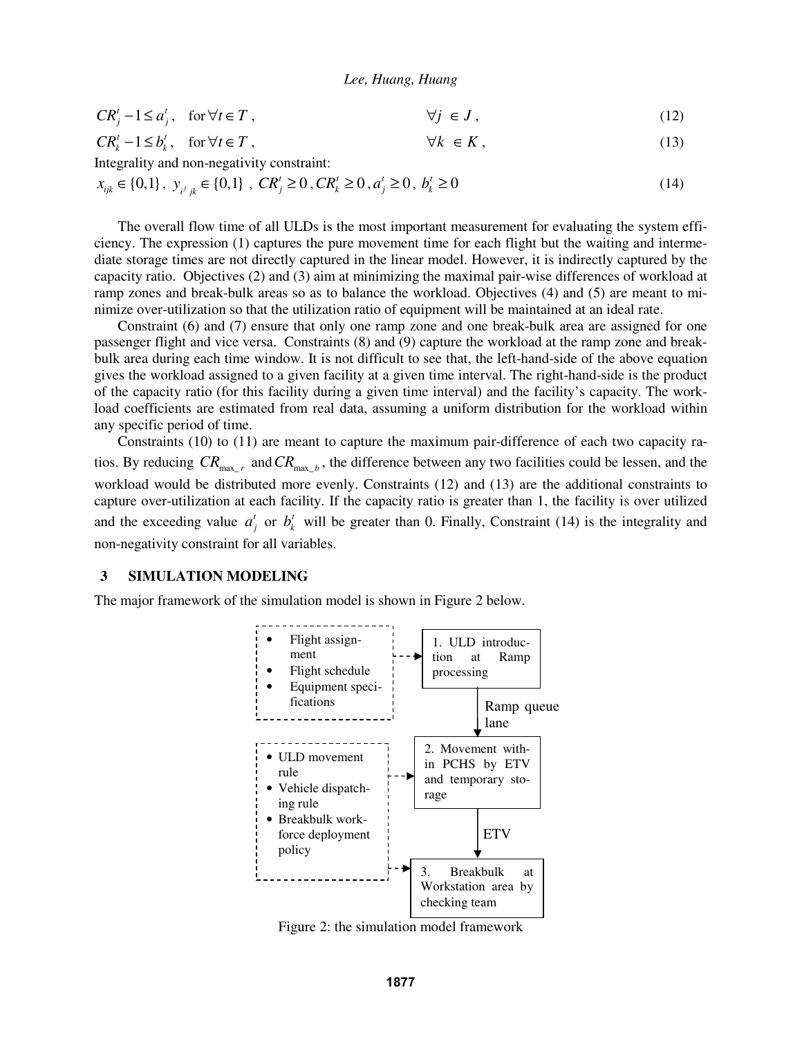| $CR_i^t - 1 \leq a_i^t$ , for $\forall t \in T$ , | $\forall j \in J$ , | (12) |
|---------------------------------------------------|---------------------|------|
|---------------------------------------------------|---------------------|------|

$$
CR_k^t - 1 \le b_k^t, \quad \text{for } \forall t \in T ,
$$
\n
$$
\forall k \in K ,
$$
\n
$$
(13)
$$

Integrality and non-negativity constraint:

$$
x_{ijk} \in \{0,1\}, \ y_{i^f j^k} \in \{0,1\} \ , \ CR^t_j \ge 0 \ , CR^t_k \ge 0 \ , a^t_j \ge 0 \ , \ b^t_k \ge 0 \tag{14}
$$

The overall flow time of all ULDs is the most important measurement for evaluating the system efficiency. The expression (1) captures the pure movement time for each flight but the waiting and intermediate storage times are not directly captured in the linear model. However, it is indirectly captured by the capacity ratio. Objectives (2) and (3) aim at minimizing the maximal pair-wise differences of workload at ramp zones and break-bulk areas so as to balance the workload. Objectives (4) and (5) are meant to minimize over-utilization so that the utilization ratio of equipment will be maintained at an ideal rate.

Constraint (6) and (7) ensure that only one ramp zone and one break-bulk area are assigned for one passenger flight and vice versa. Constraints (8) and (9) capture the workload at the ramp zone and breakbulk area during each time window. It is not difficult to see that, the left-hand-side of the above equation gives the workload assigned to a given facility at a given time interval. The right-hand-side is the product of the capacity ratio (for this facility during a given time interval) and the facility's capacity. The workload coefficients are estimated from real data, assuming a uniform distribution for the workload within any specific period of time.

Constraints (10) to (11) are meant to capture the maximum pair-difference of each two capacity ratios. By reducing  $CR_{\text{max}}$  *r* and  $CR_{\text{max}}$  *b*, the difference between any two facilities could be lessen, and the workload would be distributed more evenly. Constraints (12) and (13) are the additional constraints to capture over-utilization at each facility. If the capacity ratio is greater than 1, the facility is over utilized and the exceeding value  $a_j^t$  or  $b_k^t$  will be greater than 0. Finally, Constraint (14) is the integrality and non-negativity constraint for all variables.

## **3 SIMULATION MODELING**

The major framework of the simulation model is shown in Figure 2 below.



Figure 2: the simulation model framework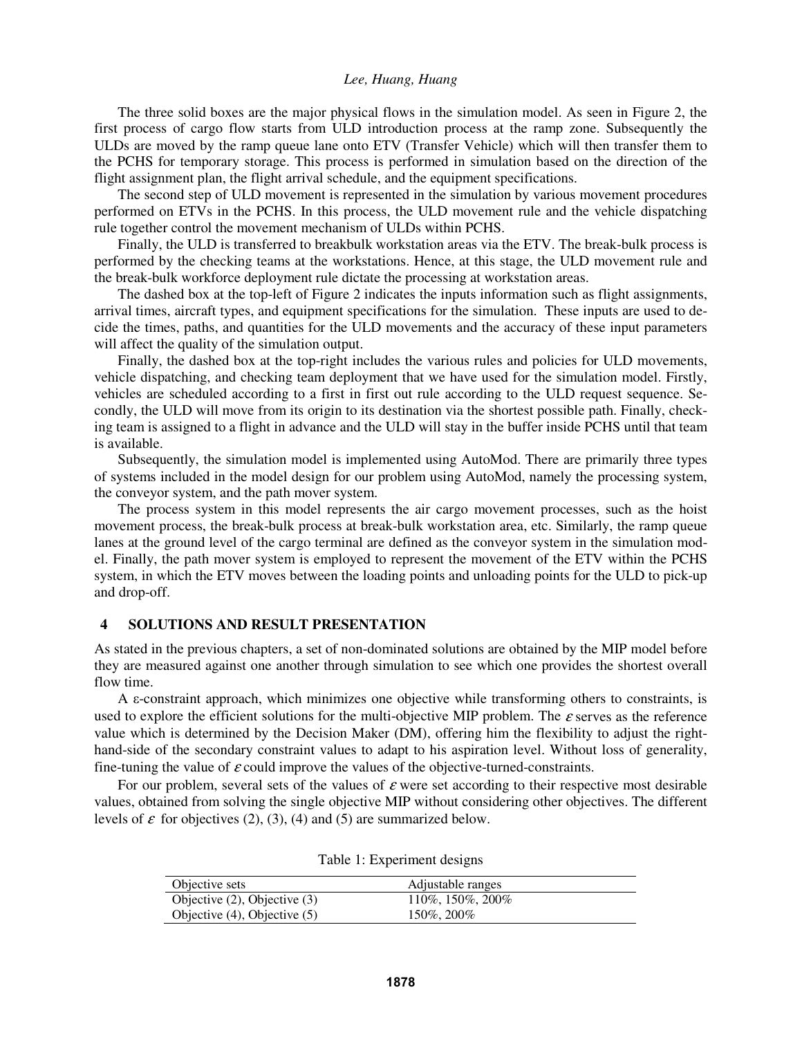The three solid boxes are the major physical flows in the simulation model. As seen in Figure 2, the first process of cargo flow starts from ULD introduction process at the ramp zone. Subsequently the ULDs are moved by the ramp queue lane onto ETV (Transfer Vehicle) which will then transfer them to the PCHS for temporary storage. This process is performed in simulation based on the direction of the flight assignment plan, the flight arrival schedule, and the equipment specifications.

The second step of ULD movement is represented in the simulation by various movement procedures performed on ETVs in the PCHS. In this process, the ULD movement rule and the vehicle dispatching rule together control the movement mechanism of ULDs within PCHS.

Finally, the ULD is transferred to breakbulk workstation areas via the ETV. The break-bulk process is performed by the checking teams at the workstations. Hence, at this stage, the ULD movement rule and the break-bulk workforce deployment rule dictate the processing at workstation areas.

The dashed box at the top-left of Figure 2 indicates the inputs information such as flight assignments, arrival times, aircraft types, and equipment specifications for the simulation. These inputs are used to decide the times, paths, and quantities for the ULD movements and the accuracy of these input parameters will affect the quality of the simulation output.

Finally, the dashed box at the top-right includes the various rules and policies for ULD movements, vehicle dispatching, and checking team deployment that we have used for the simulation model. Firstly, vehicles are scheduled according to a first in first out rule according to the ULD request sequence. Secondly, the ULD will move from its origin to its destination via the shortest possible path. Finally, checking team is assigned to a flight in advance and the ULD will stay in the buffer inside PCHS until that team is available.

Subsequently, the simulation model is implemented using AutoMod. There are primarily three types of systems included in the model design for our problem using AutoMod, namely the processing system, the conveyor system, and the path mover system.

The process system in this model represents the air cargo movement processes, such as the hoist movement process, the break-bulk process at break-bulk workstation area, etc. Similarly, the ramp queue lanes at the ground level of the cargo terminal are defined as the conveyor system in the simulation model. Finally, the path mover system is employed to represent the movement of the ETV within the PCHS system, in which the ETV moves between the loading points and unloading points for the ULD to pick-up and drop-off.

## **4 SOLUTIONS AND RESULT PRESENTATION**

As stated in the previous chapters, a set of non-dominated solutions are obtained by the MIP model before they are measured against one another through simulation to see which one provides the shortest overall flow time.

A ε-constraint approach, which minimizes one objective while transforming others to constraints, is used to explore the efficient solutions for the multi-objective MIP problem. The  $\varepsilon$  serves as the reference value which is determined by the Decision Maker (DM), offering him the flexibility to adjust the righthand-side of the secondary constraint values to adapt to his aspiration level. Without loss of generality, fine-tuning the value of  $\varepsilon$  could improve the values of the objective-turned-constraints.

For our problem, several sets of the values of  $\varepsilon$  were set according to their respective most desirable values, obtained from solving the single objective MIP without considering other objectives. The different levels of  $\varepsilon$  for objectives (2), (3), (4) and (5) are summarized below.

| Objective sets                    | Adjustable ranges   |  |
|-----------------------------------|---------------------|--|
| Objective $(2)$ , Objective $(3)$ | 110\%, 150\%, 200\% |  |
| Objective $(4)$ , Objective $(5)$ | 150\%, 200\%        |  |

Table 1: Experiment designs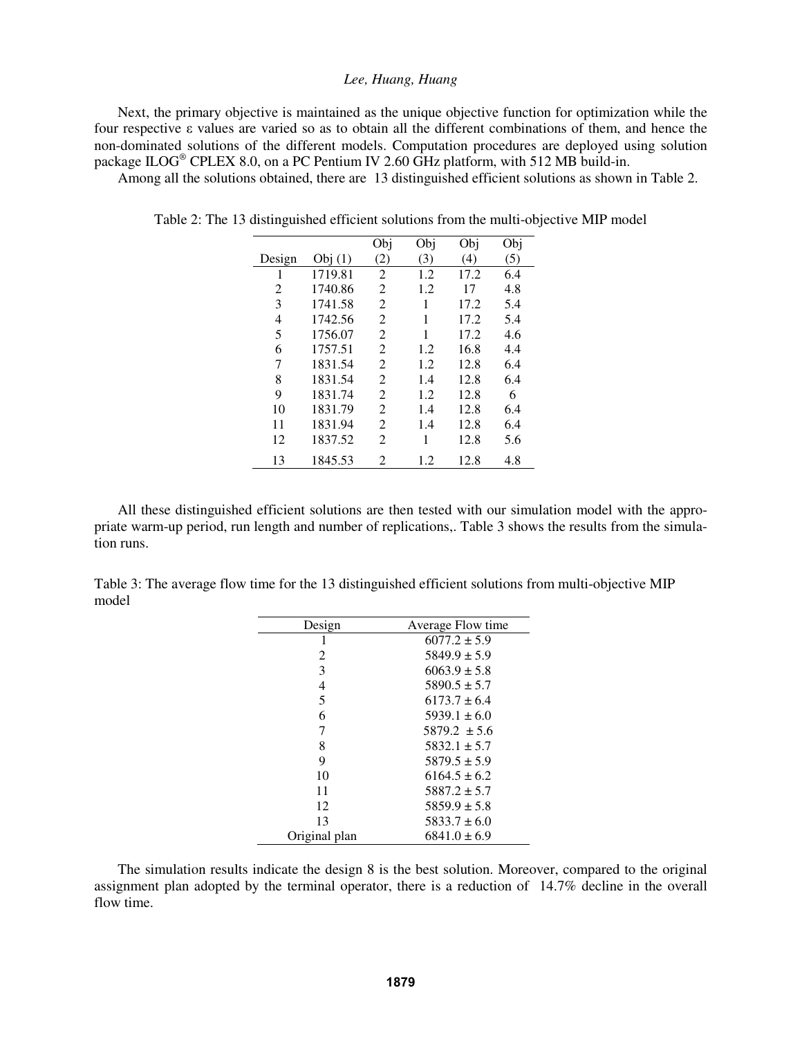Next, the primary objective is maintained as the unique objective function for optimization while the four respective ε values are varied so as to obtain all the different combinations of them, and hence the non-dominated solutions of the different models. Computation procedures are deployed using solution package ILOG® CPLEX 8.0, on a PC Pentium IV 2.60 GHz platform, with 512 MB build-in.

Among all the solutions obtained, there are 13 distinguished efficient solutions as shown in Table 2.

|        |           | Obj               | Obj | Obj  | Obj |
|--------|-----------|-------------------|-----|------|-----|
| Design | Obj $(1)$ | $\left( 2\right)$ | (3) | (4)  | (5) |
| 1      | 1719.81   | 2                 | 1.2 | 17.2 | 6.4 |
| 2      | 1740.86   | 2                 | 1.2 | 17   | 4.8 |
| 3      | 1741.58   | 2                 | 1   | 17.2 | 5.4 |
| 4      | 1742.56   | 2                 | 1   | 17.2 | 5.4 |
| 5      | 1756.07   | $\overline{2}$    | 1   | 17.2 | 4.6 |
| 6      | 1757.51   | $\overline{2}$    | 1.2 | 16.8 | 4.4 |
| 7      | 1831.54   | $\overline{2}$    | 1.2 | 12.8 | 6.4 |
| 8      | 1831.54   | 2                 | 1.4 | 12.8 | 6.4 |
| 9      | 1831.74   | $\overline{c}$    | 1.2 | 12.8 | 6   |
| 10     | 1831.79   | 2                 | 1.4 | 12.8 | 6.4 |
| 11     | 1831.94   | $\overline{2}$    | 1.4 | 12.8 | 6.4 |
| 12     | 1837.52   | 2                 | 1   | 12.8 | 5.6 |
| 13     | 1845.53   | $\overline{c}$    | 1.2 | 12.8 | 4.8 |

Table 2: The 13 distinguished efficient solutions from the multi-objective MIP model

All these distinguished efficient solutions are then tested with our simulation model with the appropriate warm-up period, run length and number of replications,. Table 3 shows the results from the simulation runs.

Table 3: The average flow time for the 13 distinguished efficient solutions from multi-objective MIP model

 $\overline{a}$ 

| Design        | Average Flow time |
|---------------|-------------------|
|               | $6077.2 \pm 5.9$  |
| 2             | $5849.9 \pm 5.9$  |
| 3             | $6063.9 \pm 5.8$  |
| 4             | $5890.5 \pm 5.7$  |
| 5             | $6173.7 \pm 6.4$  |
| 6             | $5939.1 \pm 6.0$  |
| 7             | $5879.2 \pm 5.6$  |
| 8             | $5832.1 \pm 5.7$  |
| 9             | $5879.5 \pm 5.9$  |
| 10            | $6164.5 \pm 6.2$  |
| 11            | $5887.2 \pm 5.7$  |
| 12            | $5859.9 \pm 5.8$  |
| 13            | $5833.7 \pm 6.0$  |
| Original plan | $6841.0 \pm 6.9$  |

The simulation results indicate the design 8 is the best solution. Moreover, compared to the original assignment plan adopted by the terminal operator, there is a reduction of 14.7% decline in the overall flow time.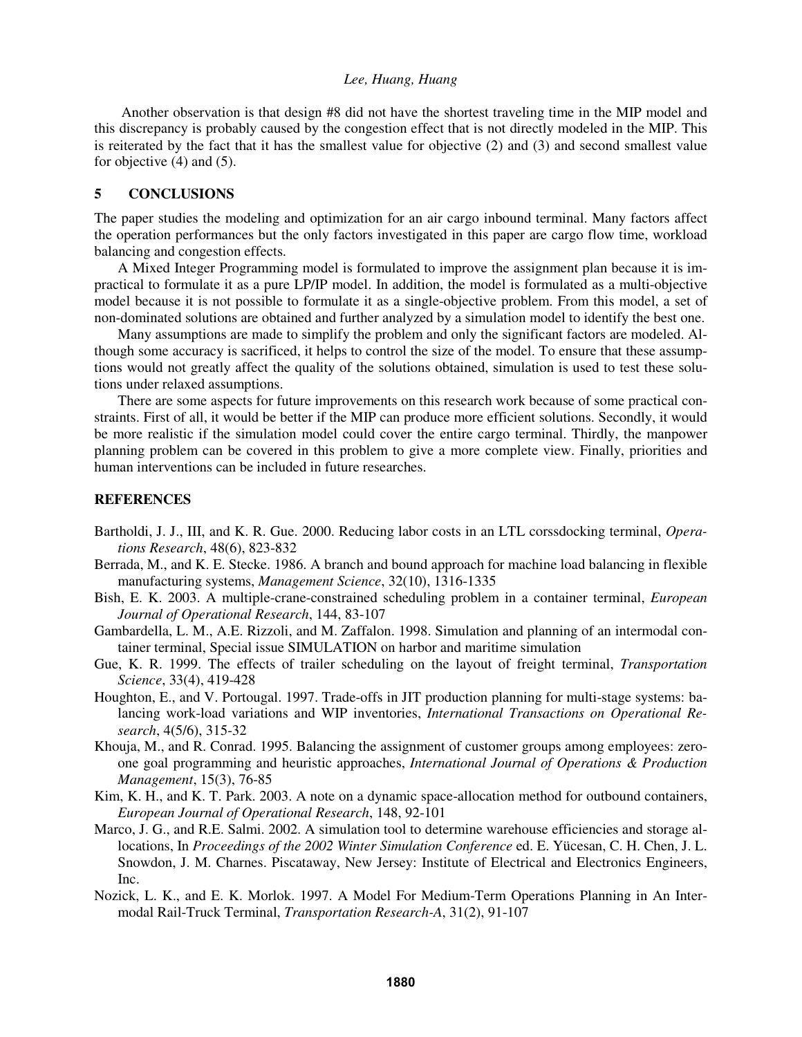Another observation is that design #8 did not have the shortest traveling time in the MIP model and this discrepancy is probably caused by the congestion effect that is not directly modeled in the MIP. This is reiterated by the fact that it has the smallest value for objective (2) and (3) and second smallest value for objective (4) and (5).

## **5 CONCLUSIONS**

The paper studies the modeling and optimization for an air cargo inbound terminal. Many factors affect the operation performances but the only factors investigated in this paper are cargo flow time, workload balancing and congestion effects.

A Mixed Integer Programming model is formulated to improve the assignment plan because it is impractical to formulate it as a pure LP/IP model. In addition, the model is formulated as a multi-objective model because it is not possible to formulate it as a single-objective problem. From this model, a set of non-dominated solutions are obtained and further analyzed by a simulation model to identify the best one.

Many assumptions are made to simplify the problem and only the significant factors are modeled. Although some accuracy is sacrificed, it helps to control the size of the model. To ensure that these assumptions would not greatly affect the quality of the solutions obtained, simulation is used to test these solutions under relaxed assumptions.

There are some aspects for future improvements on this research work because of some practical constraints. First of all, it would be better if the MIP can produce more efficient solutions. Secondly, it would be more realistic if the simulation model could cover the entire cargo terminal. Thirdly, the manpower planning problem can be covered in this problem to give a more complete view. Finally, priorities and human interventions can be included in future researches.

### **REFERENCES**

- Bartholdi, J. J., III, and K. R. Gue. 2000. Reducing labor costs in an LTL corssdocking terminal, *Operations Research*, 48(6), 823-832
- Berrada, M., and K. E. Stecke. 1986. A branch and bound approach for machine load balancing in flexible manufacturing systems, *Management Science*, 32(10), 1316-1335
- Bish, E. K. 2003. A multiple-crane-constrained scheduling problem in a container terminal, *European Journal of Operational Research*, 144, 83-107
- Gambardella, L. M., A.E. Rizzoli, and M. Zaffalon. 1998. Simulation and planning of an intermodal container terminal, Special issue SIMULATION on harbor and maritime simulation
- Gue, K. R. 1999. The effects of trailer scheduling on the layout of freight terminal, *Transportation Science*, 33(4), 419-428
- Houghton, E., and V. Portougal. 1997. Trade-offs in JIT production planning for multi-stage systems: balancing work-load variations and WIP inventories, *International Transactions on Operational Research*, 4(5/6), 315-32
- Khouja, M., and R. Conrad. 1995. Balancing the assignment of customer groups among employees: zeroone goal programming and heuristic approaches, *International Journal of Operations & Production Management*, 15(3), 76-85
- Kim, K. H., and K. T. Park. 2003. A note on a dynamic space-allocation method for outbound containers, *European Journal of Operational Research*, 148, 92-101
- Marco, J. G., and R.E. Salmi. 2002. A simulation tool to determine warehouse efficiencies and storage allocations, In *Proceedings of the 2002 Winter Simulation Conference* ed. E. Yücesan, C. H. Chen, J. L. Snowdon, J. M. Charnes. Piscataway, New Jersey: Institute of Electrical and Electronics Engineers, Inc.
- Nozick, L. K., and E. K. Morlok. 1997. A Model For Medium-Term Operations Planning in An Intermodal Rail-Truck Terminal, *Transportation Research-A*, 31(2), 91-107